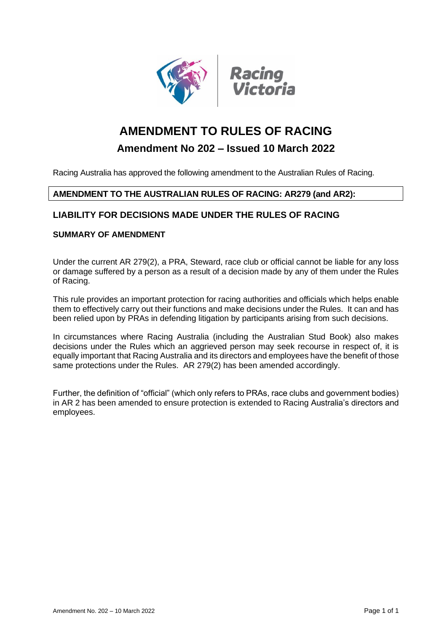

# **AMENDMENT TO RULES OF RACING**

## **Amendment No 202 – Issued 10 March 2022**

Racing Australia has approved the following amendment to the Australian Rules of Racing.

## **AMENDMENT TO THE AUSTRALIAN RULES OF RACING: AR279 (and AR2):**

## **LIABILITY FOR DECISIONS MADE UNDER THE RULES OF RACING**

## **SUMMARY OF AMENDMENT**

Under the current AR 279(2), a PRA, Steward, race club or official cannot be liable for any loss or damage suffered by a person as a result of a decision made by any of them under the Rules of Racing.

This rule provides an important protection for racing authorities and officials which helps enable them to effectively carry out their functions and make decisions under the Rules. It can and has been relied upon by PRAs in defending litigation by participants arising from such decisions.

In circumstances where Racing Australia (including the Australian Stud Book) also makes decisions under the Rules which an aggrieved person may seek recourse in respect of, it is equally important that Racing Australia and its directors and employees have the benefit of those same protections under the Rules. AR 279(2) has been amended accordingly.

Further, the definition of "official" (which only refers to PRAs, race clubs and government bodies) in AR 2 has been amended to ensure protection is extended to Racing Australia's directors and employees.